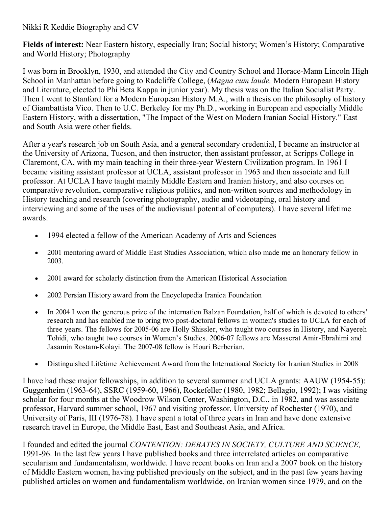## Nikki R Keddie Biography and CV

Fields of interest: Near Eastern history, especially Iran; Social history; Women's History; Comparative and World History; Photography

I was born in Brooklyn, 1930, and attended the City and Country School and Horace-Mann Lincoln High School in Manhattan before going to Radcliffe College, (Magna cum laude, Modern European History and Literature, elected to Phi Beta Kappa in junior year). My thesis was on the Italian Socialist Party. Then I went to Stanford for a Modern European History M.A., with a thesis on the philosophy of history of Giambattista Vico. Then to U.C. Berkeley for my Ph.D., working in European and especially Middle Eastern History, with a dissertation, "The Impact of the West on Modern Iranian Social History." East and South Asia were other fields.

After a year's research job on South Asia, and a general secondary credential, I became an instructor at the University of Arizona, Tucson, and then instructor, then assistant professor, at Scripps College in Claremont, CA, with my main teaching in their three-year Western Civilization program. In 1961 I became visiting assistant professor at UCLA, assistant professor in 1963 and then associate and full professor. At UCLA I have taught mainly Middle Eastern and Iranian history, and also courses on comparative revolution, comparative religious politics, and non-written sources and methodology in History teaching and research (covering photography, audio and videotaping, oral history and interviewing and some of the uses of the audiovisual potential of computers). I have several lifetime awards:

- 1994 elected a fellow of the American Academy of Arts and Sciences
- 2001 mentoring award of Middle East Studies Association, which also made me an honorary fellow in 2003.
- 2001 award for scholarly distinction from the American Historical Association
- 2002 Persian History award from the Encyclopedia Iranica Foundation
- In 2004 I won the generous prize of the internation Balzan Foundation, half of which is devoted to others' research and has enabled me to bring two post-doctoral fellows in women's studies to UCLA for each of three years. The fellows for 2005-06 are Holly Shissler, who taught two courses in History, and Nayereh Tohidi, who taught two courses in Women's Studies. 2006-07 fellows are Masserat Amir-Ebrahimi and Jasamin Rostam-Kolayi. The 2007-08 fellow is Houri Berberian.
- Distinguished Lifetime Achievement Award from the International Society for Iranian Studies in 2008

I have had these major fellowships, in addition to several summer and UCLA grants: AAUW (1954-55): Guggenheim (1963-64), SSRC (1959-60, 1966), Rockefeller (1980, 1982; Bellagio, 1992); I was visiting scholar for four months at the Woodrow Wilson Center, Washington, D.C., in 1982, and was associate professor, Harvard summer school, 1967 and visiting professor, University of Rochester (1970), and University of Paris, III (1976-78). I have spent a total of three years in Iran and have done extensive research travel in Europe, the Middle East, East and Southeast Asia, and Africa.

I founded and edited the journal CONTENTION: DEBATES IN SOCIETY, CULTURE AND SCIENCE, 199196. In the last few years I have published books and three interrelated articles on comparative secularism and fundamentalism, worldwide. I have recent books on Iran and a 2007 book on the history of Middle Eastern women, having published previously on the subject, and in the past few years having published articles on women and fundamentalism worldwide, on Iranian women since 1979, and on the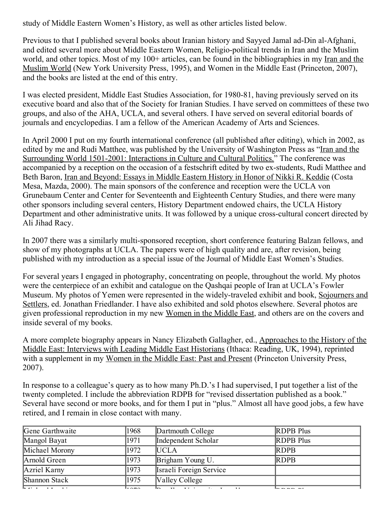study of Middle Eastern Women's History, as well as other articles listed below.

Previous to that I published several books about Iranian history and Sayyed Jamal ad-Din al-Afghani, and edited several more about Middle Eastern Women, Religio-political trends in Iran and the Muslim world, and other topics. Most of my 100+ articles, can be found in the bibliographies in my Iran and the Muslim World (New York University Press, 1995), and Women in the Middle East (Princeton, 2007), and the books are listed at the end of this entry.

I was elected president, Middle East Studies Association, for 1980-81, having previously served on its executive board and also that of the Society for Iranian Studies. I have served on committees of these two groups, and also of the AHA, UCLA, and several others. I have served on several editorial boards of journals and encyclopedias. I am a fellow of the American Academy of Arts and Sciences.

In April 2000 I put on my fourth international conference (all published after editing), which in 2002, as edited by me and Rudi Matthee, was published by the University of Washington Press as "Iran and the Surrounding World 1501-2001: Interactions in Culture and Cultural Politics." The conference was accompanied by a reception on the occasion of a festschrift edited by two ex-students, Rudi Matthee and Beth Baron, Iran and Beyond: Essays in Middle Eastern History in Honor of Nikki R. Keddie (Costa Mesa, Mazda, 2000). The main sponsors of the conference and reception were the UCLA von Grunebaum Center and Center for Seventeenth and Eighteenth Century Studies, and there were many other sponsors including several centers, History Department endowed chairs, the UCLA History Department and other administrative units. It was followed by a unique cross-cultural concert directed by Ali Jihad Racy.

In 2007 there was a similarly multi-sponsored reception, short conference featuring Balzan fellows, and show of my photographs at UCLA. The papers were of high quality and are, after revision, being published with my introduction as a special issue of the Journal of Middle East Women's Studies.

For several years I engaged in photography, concentrating on people, throughout the world. My photos were the centerpiece of an exhibit and catalogue on the Qashqai people of Iran at UCLA's Fowler Museum. My photos of Yemen were represented in the widely-traveled exhibit and book, Sojourners and Settlers, ed. Jonathan Friedlander. I have also exhibited and sold photos elsewhere. Several photos are given professional reproduction in my new Women in the Middle East, and others are on the covers and inside several of my books.

A more complete biography appears in Nancy Elizabeth Gallagher, ed., Approaches to the History of the Middle East: Interviews with Leading Middle East Historians (Ithaca: Reading, UK, 1994), reprinted with a supplement in my Women in the Middle East: Past and Present (Princeton University Press, 2007).

In response to a colleague's query as to how many Ph.D.'s I had supervised, I put together a list of the twenty completed. I include the abbreviation RDPB for "revised dissertation published as a book." Several have second or more books, and for them I put in "plus." Almost all have good jobs, a few have retired, and I remain in close contact with many.

| Gene Garthwaite                        | 1968                                       | Dartmouth College            | <b>RDPB</b> Plus |
|----------------------------------------|--------------------------------------------|------------------------------|------------------|
| Mangol Bayat                           | 1971                                       | Independent Scholar          | <b>RDPB</b> Plus |
| Michael Morony                         | 1972                                       | <b>IUCLA</b>                 | <b>RDPB</b>      |
| Arnold Green                           | 1973                                       | Brigham Young U.             | <b>RDPB</b>      |
| Azriel Karny                           | 1973                                       | Israeli Foreign Service      |                  |
| Shannon Stack                          | 1975                                       | Valley College               |                  |
| $\sqrt{1 + \frac{1}{2} + \frac{1}{2}}$ | $\mathsf{L}\circ\mathsf{H}\circ\mathsf{H}$ | $\rightarrow$<br>$T$ $T$ $T$ |                  |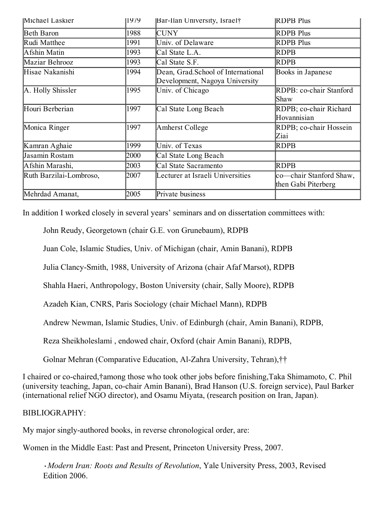| Michael Laskier         | 1979 | Bar-Ilan University, Israel†                                         | <b>IRDPB Plus</b>                              |
|-------------------------|------|----------------------------------------------------------------------|------------------------------------------------|
| Beth Baron              | 1988 | <b>CUNY</b>                                                          | <b>RDPB</b> Plus                               |
| Rudi Matthee            | 1991 | Univ. of Delaware                                                    | <b>RDPB</b> Plus                               |
| Afshin Matin            | 1993 | Cal State L.A.                                                       | RDPB                                           |
| Maziar Behrooz          | 1993 | Cal State S.F.                                                       | RDPB                                           |
| Hisae Nakanishi         | 1994 | Dean, Grad.School of International<br>Development, Nagoya University | Books in Japanese                              |
| A. Holly Shissler       | 1995 | Univ. of Chicago                                                     | RDPB: co-chair Stanford<br>Shaw                |
| Houri Berberian         | 1997 | Cal State Long Beach                                                 | RDPB; co-chair Richard<br>Hovannisian          |
| Monica Ringer           | 1997 | Amherst College                                                      | RDPB; co-chair Hossein<br>Ziai                 |
| Kamran Aghaie           | 1999 | Univ. of Texas                                                       | RDPB                                           |
| Jasamin Rostam          | 2000 | Cal State Long Beach                                                 |                                                |
| Afshin Marashi,         | 2003 | Cal State Sacramento                                                 | RDPB                                           |
| Ruth Barzilai-Lombroso, | 2007 | Lecturer at Israeli Universities                                     | co—chair Stanford Shaw,<br>then Gabi Piterberg |
| Mehrdad Amanat,         | 2005 | Private business                                                     |                                                |

In addition I worked closely in several years' seminars and on dissertation committees with:

John Reudy, Georgetown (chair G.E. von Grunebaum), RDPB

Juan Cole, Islamic Studies, Univ. of Michigan (chair, Amin Banani), RDPB

Julia Clancy-Smith, 1988, University of Arizona (chair Afaf Marsot), RDPB

Shahla Haeri, Anthropology, Boston University (chair, Sally Moore), RDPB

Azadeh Kian, CNRS, Paris Sociology (chair Michael Mann), RDPB

Andrew Newman, Islamic Studies, Univ. of Edinburgh (chair, Amin Banani), RDPB,

Reza Sheikholeslami , endowed chair, Oxford (chair Amin Banani), RDPB,

Golnar Mehran (Comparative Education, AlZahra University, Tehran),††

I chaired or co-chaired,†among those who took other jobs before finishing,Taka Shimamoto, C. Phil (university teaching, Japan, cochair Amin Banani), Brad Hanson (U.S. foreign service), Paul Barker (international relief NGO director), and Osamu Miyata, (research position on Iran, Japan).

## BIBLIOGRAPHY:

My major singly-authored books, in reverse chronological order, are:

Women in the Middle East: Past and Present, Princeton University Press, 2007.

•Modern Iran: Roots and Results of Revolution, Yale University Press, 2003, Revised Edition 2006.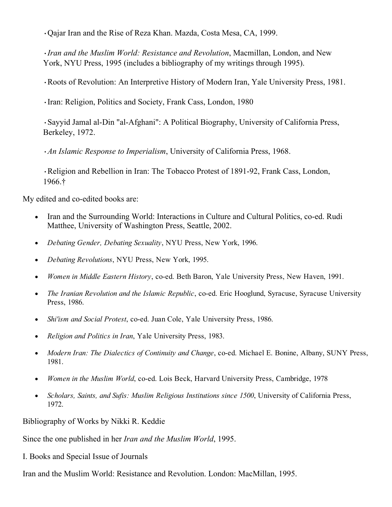•Qajar Iran and the Rise of Reza Khan. Mazda, Costa Mesa, CA, 1999.

•Iran and the Muslim World: Resistance and Revolution, Macmillan, London, and New York, NYU Press, 1995 (includes a bibliography of my writings through 1995).

•Roots of Revolution: An Interpretive History of Modern Iran, Yale University Press, 1981.

•Iran: Religion, Politics and Society, Frank Cass, London, 1980

•Sayyid Jamal al-Din "al-Afghani": A Political Biography, University of California Press, Berkeley, 1972.

•An Islamic Response to Imperialism, University of California Press, 1968.

•Religion and Rebellion in Iran: The Tobacco Protest of 1891-92, Frank Cass, London, 1966.†

My edited and co-edited books are:

- Iran and the Surrounding World: Interactions in Culture and Cultural Politics, co-ed. Rudi Matthee, University of Washington Press, Seattle, 2002.
- Debating Gender, Debating Sexuality, NYU Press, New York, 1996.
- Debating Revolutions, NYU Press, New York, 1995.
- Women in Middle Eastern History, co-ed. Beth Baron, Yale University Press, New Haven, 1991.
- The Iranian Revolution and the Islamic Republic, co-ed. Eric Hooglund, Syracuse, Syracuse University Press, 1986.
- Shi'ism and Social Protest, co-ed. Juan Cole, Yale University Press, 1986.
- Religion and Politics in Iran, Yale University Press, 1983.
- Modern Iran: The Dialectics of Continuity and Change, co-ed. Michael E. Bonine, Albany, SUNY Press, 1981.
- Women in the Muslim World, co-ed. Lois Beck, Harvard University Press, Cambridge, 1978
- Scholars, Saints, and Sufis: Muslim Religious Institutions since 1500, University of California Press, 1972.

Bibliography of Works by Nikki R. Keddie

Since the one published in her Iran and the Muslim World, 1995.

I. Books and Special Issue of Journals

Iran and the Muslim World: Resistance and Revolution. London: MacMillan, 1995.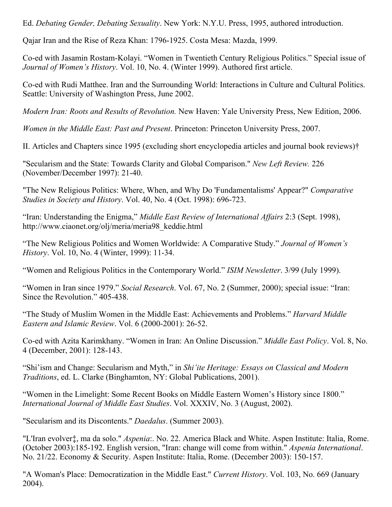Ed. Debating Gender, Debating Sexuality. New York: N.Y.U. Press, 1995, authored introduction.

Qajar Iran and the Rise of Reza Khan: 17961925. Costa Mesa: Mazda, 1999.

Co-ed with Jasamin Rostam-Kolayi. "Women in Twentieth Century Religious Politics." Special issue of Journal of Women's History. Vol. 10, No. 4. (Winter 1999). Authored first article.

Co-ed with Rudi Matthee. Iran and the Surrounding World: Interactions in Culture and Cultural Politics. Seattle: University of Washington Press, June 2002.

Modern Iran: Roots and Results of Revolution. New Haven: Yale University Press, New Edition, 2006.

Women in the Middle East: Past and Present. Princeton: Princeton University Press, 2007.

II. Articles and Chapters since 1995 (excluding short encyclopedia articles and journal book reviews)†

"Secularism and the State: Towards Clarity and Global Comparison." New Left Review. 226 (November/December 1997): 21-40.

"The New Religious Politics: Where, When, and Why Do 'Fundamentalisms' Appear?" Comparative Studies in Society and History. Vol. 40, No. 4 (Oct. 1998): 696-723.

"Iran: Understanding the Enigma," Middle East Review of International Affairs 2:3 (Sept. 1998), http://www.ciaonet.org/olj/meria/meria98\_keddie.html

"The New Religious Politics and Women Worldwide: A Comparative Study." Journal of Women's History. Vol. 10, No. 4 (Winter, 1999): 11-34.

"Women and Religious Politics in the Contemporary World." ISIM Newsletter. 3/99 (July 1999).

"Women in Iran since 1979." Social Research. Vol. 67, No. 2 (Summer, 2000); special issue: "Iran: Since the Revolution." 405-438.

"The Study of Muslim Women in the Middle East: Achievements and Problems." Harvard Middle Eastern and Islamic Review. Vol. 6 (2000-2001): 26-52.

Co-ed with Azita Karimkhany. "Women in Iran: An Online Discussion." *Middle East Policy*. Vol. 8, No. 4 (December, 2001): 128-143.

"Shi'ism and Change: Secularism and Myth," in Shi'ite Heritage: Essays on Classical and Modern Traditions, ed. L. Clarke (Binghamton, NY: Global Publications, 2001).

"Women in the Limelight: Some Recent Books on Middle Eastern Women's History since 1800." International Journal of Middle East Studies. Vol. XXXIV, No. 3 (August, 2002).

"Secularism and its Discontents." Daedalus. (Summer 2003).

"L'Iran evolver‡, ma da solo." Aspenia:. No. 22. America Black and White. Aspen Institute: Italia, Rome. (October 2003):185-192. English version, "Iran: change will come from within." *Aspenia International*. No. 21/22. Economy & Security. Aspen Institute: Italia, Rome. (December 2003): 150-157.

"A Woman's Place: Democratization in the Middle East." Current History. Vol. 103, No. 669 (January 2004).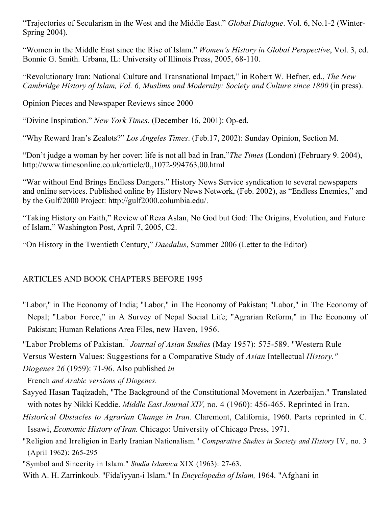"Trajectories of Secularism in the West and the Middle East." *Global Dialogue*. Vol. 6, No.1-2 (Winter-Spring 2004).

"Women in the Middle East since the Rise of Islam." *Women's History in Global Perspective*, Vol. 3, ed. Bonnie G. Smith. Urbana, IL: University of Illinois Press, 2005, 68-110.

"Revolutionary Iran: National Culture and Transnational Impact," in Robert W. Hefner, ed., The New Cambridge History of Islam, Vol. 6, Muslims and Modernity: Society and Culture since 1800 (in press).

Opinion Pieces and Newspaper Reviews since 2000

"Divine Inspiration." New York Times. (December 16, 2001): Op-ed.

"Why Reward Iran's Zealots?" Los Angeles Times. (Feb.17, 2002): Sunday Opinion, Section M.

"Don't judge a woman by her cover: life is not all bad in Iran,"The Times (London) (February 9. 2004), http://www.timesonline.co.uk/article/0,,1072-994763,00.html

"War without End Brings Endless Dangers." History News Service syndication to several newspapers and online services. Published online by History News Network, (Feb. 2002), as "Endless Enemies," and by the Gulf/2000 Project: http://gulf2000.columbia.edu/.

"Taking History on Faith," Review of Reza Aslan, No God but God: The Origins, Evolution, and Future of Islam," Washington Post, April 7, 2005, C2.

"On History in the Twentieth Century," Daedalus, Summer 2006 (Letter to the Editor)

## ARTICLES AND BOOK CHAPTERS BEFORE 1995

- "Labor," in The Economy of India; "Labor," in The Economy of Pakistan; "Labor," in The Economy of Nepal; "Labor Force," in A Survey of Nepal Social Life; "Agrarian Reform," in The Economy of Pakistan; Human Relations Area Files, new Haven, 1956.
- "Labor Problems of Pakistan.<sup>"</sup> Journal of Asian Studies (May 1957): 575-589. "Western Rule

Versus Western Values: Suggestions for a Comparative Study of Asian Intellectual History."

Diogenes 26 (1959): 71-96. Also published in

French and Arabic versions of Diogenes.

- Sayyed Hasan Taqizadeh, "The Background of the Constitutional Movement in Azerbaijan." Translated with notes by Nikki Keddie. *Middle East Journal XIV*, no. 4 (1960): 456-465. Reprinted in Iran.
- Historical Obstacles to Agrarian Change in Iran. Claremont, California, 1960. Parts reprinted in C. Issawi, Economic History of Iran. Chicago: University of Chicago Press, 1971.
- "Religion and Irreligion in Early Iranian Nationalism." Comparative Studies in Society and History IV, no. 3 (April 1962): 265-295

"Symbol and Sincerity in Islam." Studia Islamica XIX (1963): 27-63.

With A. H. Zarrinkoub. "Fida'iyyan-i Islam." In *Encyclopedia of Islam*, 1964. "Afghani in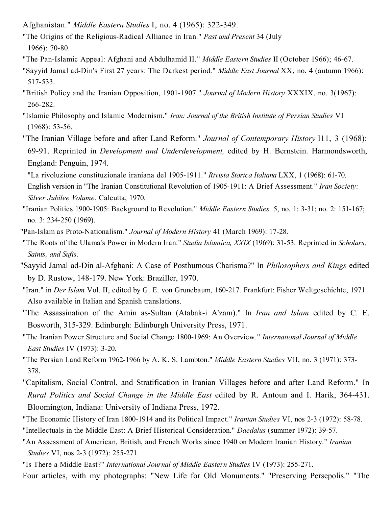- Afghanistan." *Middle Eastern Studies* I, no. 4 (1965): 322-349.
- "The Origins of the Religious-Radical Alliance in Iran." Past and Present 34 (July 1966): 70-80.
- "The Pan-Islamic Appeal: Afghani and Abdulhamid II." Middle Eastern Studies II (October 1966); 46-67.
- "Sayyid Jamal ad-Din's First 27 years: The Darkest period." Middle East Journal XX, no. 4 (autumn 1966): 517-533.
- "British Policy and the Iranian Opposition, 1901-1907." Journal of Modern History XXXIX, no. 3(1967): 266-282.
- "Islamic Philosophy and Islamic Modernism." Iran: Journal of the British Institute of Persian Studies VI  $(1968): 53-56.$
- "The Iranian Village before and after Land Reform." Journal of Contemporary History I11, 3 (1968): 69-91. Reprinted in *Development and Underdevelopment*, edited by H. Bernstein. Harmondsworth, England: Penguin, 1974.
- "La rivoluzione constituzionale iraniana del 1905-1911." Rivista Storica Italiana LXX, 1 (1968): 61-70. English version in "The Iranian Constitutional Revolution of 1905-1911: A Brief Assessment." Iran Society: Silver Jubilee Volume. Calcutta, 1970.
- "Iranian Politics 1900-1905: Background to Revolution." *Middle Eastern Studies*, 5, no. 1: 3-31; no. 2: 151-167; no. 3: 234-250 (1969).
- "Pan-Islam as Proto-Nationalism." *Journal of Modern History* 41 (March 1969): 17-28.
- "The Roots of the Ulama's Power in Modern Iran." Studia Islamica, XXIX (1969): 31-53. Reprinted in Scholars, Saints, and Sufis.
- "Sayyid Jamal ad-Din al-Afghani: A Case of Posthumous Charisma?" In *Philosophers and Kings* edited by D. Rustow, 148179. New York: Braziller, 1970.
- "Iran." in Der Islam Vol. II, edited by G. E. von Grunebaum, 160-217. Frankfurt: Fisher Weltgeschichte, 1971. Also available in Italian and Spanish translations.
- "The Assassination of the Amin as-Sultan (Atabak-i A'zam)." In *Iran and Islam* edited by C. E. Bosworth, 315-329. Edinburgh: Edinburgh University Press, 1971.
- "The Iranian Power Structure and Social Change 1800-1969: An Overview." International Journal of Middle East Studies IV (1973): 3-20.
- "The Persian Land Reform 1962-1966 by A. K. S. Lambton." *Middle Eastern Studies VII*, no. 3 (1971): 373-378.
- "Capitalism, Social Control, and Stratification in Iranian Villages before and after Land Reform." In Rural Politics and Social Change in the Middle East edited by R. Antoun and I. Harik, 364-431. Bloomington, Indiana: University of Indiana Press, 1972.
- "The Economic History of Iran 1800-1914 and its Political Impact." *Iranian Studies VI*, nos 2-3 (1972): 58-78.
- "Intellectuals in the Middle East: A Brief Historical Consideration." *Daedalus* (summer 1972): 39-57.
- "An Assessment of American, British, and French Works since 1940 on Modern Iranian History." Iranian Studies VI, nos 2-3 (1972): 255-271.
- "Is There a Middle East?" International Journal of Middle Eastern Studies IV (1973): 255-271.
- Four articles, with my photographs: "New Life for Old Monuments." "Preserving Persepolis." "The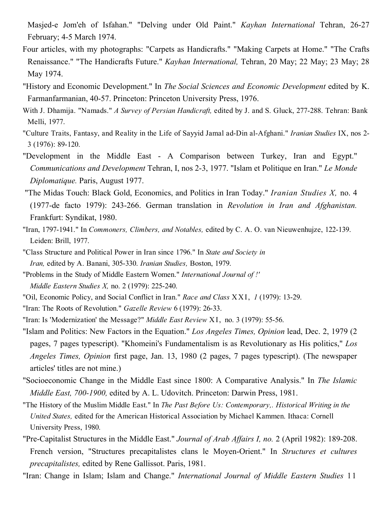Masjed-e Jom'eh of Isfahan." "Delving under Old Paint." Kayhan International Tehran, 26-27 February; 4-5 March 1974.

- Four articles, with my photographs: "Carpets as Handicrafts." "Making Carpets at Home." "The Crafts Renaissance." "The Handicrafts Future." Kayhan International, Tehran, 20 May; 22 May; 23 May; 28 May 1974.
- "History and Economic Development." In The Social Sciences and Economic Development edited by K. Farmanfarmanian, 40-57. Princeton: Princeton University Press, 1976.
- With J. Dhamija. "Namads." A Survey of Persian Handicraft, edited by J. and S. Gluck, 277-288. Tehran: Bank Melli, 1977.
- "Culture Traits, Fantasy, and Reality in the Life of Sayyid Jamal ad-Din al-Afghani." Iranian Studies IX, nos 2-3 (1976): 89-120.
- "Development in the Middle East A Comparison between Turkey, Iran and Egypt." Communications and Development Tehran, I, nos 2-3, 1977. "Islam et Politique en Iran." Le Monde Diplomatique. Paris, August 1977.
- "The Midas Touch: Black Gold, Economics, and Politics in Iran Today." *Iranian Studies X*, no. 4 (1977-de facto 1979): 243-266. German translation in Revolution in Iran and Afghanistan. Frankfurt: Syndikat, 1980.
- "Iran, 1797-1941." In Commoners, Climbers, and Notables, edited by C. A. O. van Nieuwenhujze, 122-139. Leiden: Brill, 1977.
- "Class Structure and Political Power in Iran since 1796." In State and Society in Iran, edited by A. Banani, 305-330. Iranian Studies, Boston, 1979.
- "Problems in the Study of Middle Eastern Women." International Journal of !'
	- Middle Eastern Studies X, no.  $2$  (1979): 225-240.
- "Oil, Economic Policy, and Social Conflict in Iran." Race and Class XXI, 1 (1979): 13-29.
- "Iran: The Roots of Revolution." Gazelle Review 6 (1979): 26-33.
- "Iran: Is 'Modernization' the Message?" *Middle East Review XI*, no. 3 (1979): 55-56.
- "Islam and Politics: New Factors in the Equation." Los Angeles Times, Opinion lead, Dec. 2, 1979 (2 pages, 7 pages typescript). "Khomeini's Fundamentalism is as Revolutionary as His politics," Los Angeles Times, Opinion first page, Jan. 13, 1980 (2 pages, 7 pages typescript). (The newspaper articles' titles are not mine.)
- "Socioeconomic Change in the Middle East since 1800: A Comparative Analysis." In The Islamic Middle East, 700-1900, edited by A. L. Udovitch. Princeton: Darwin Press, 1981.
- "The History of the Muslim Middle East." In The Past Before Us: Contemporary,. Historical Writing in the United States, edited for the American Historical Association by Michael Kammen. Ithaca: Cornell University Press, 1980.
- "Pre-Capitalist Structures in the Middle East." Journal of Arab Affairs I, no. 2 (April 1982): 189-208. French version, "Structures precapitalistes clans le Moyen-Orient." In Structures et cultures precapitalistes, edited by Rene Gallissot. Paris, 1981.
- "Iran: Change in Islam; Islam and Change." International Journal of Middle Eastern Studies 11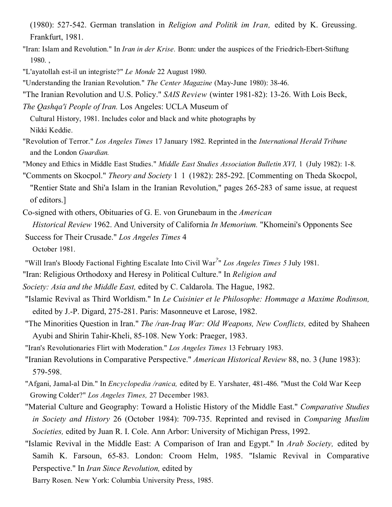- (1980): 527-542. German translation in *Religion and Politik im Iran*, edited by K. Greussing. Frankfurt, 1981.
- "Iran: Islam and Revolution." In *Iran in der Krise*. Bonn: under the auspices of the Friedrich-Ebert-Stiftung 1980. ,
- "L'ayatollah est-il un integriste?" Le Monde 22 August 1980.
- "Understanding the Iranian Revolution." The Center Magazine (MayJune 1980): 3846.
- "The Iranian Revolution and U.S. Policy." SAIS Review (winter 1981-82): 13-26. With Lois Beck,

The Qashqa'i People of Iran. Los Angeles: UCLA Museum of

Cultural History, 1981. Includes color and black and white photographs by Nikki Keddie.

"Revolution of Terror." Los Angeles Times 17 January 1982. Reprinted in the International Herald Tribune and the London Guardian.

"Money and Ethics in Middle East Studies." *Middle East Studies Association Bulletin XVI*, 1 (July 1982): 1-8.

"Comments on Skocpol." *Theory and Society* 1 1 (1982): 285-292. [Commenting on Theda Skocpol, "Rentier State and Shi'a Islam in the Iranian Revolution," pages 265-283 of same issue, at request of editors.]

Co-signed with others, Obituaries of G. E. von Grunebaum in the *American* 

Historical Review 1962. And University of California In Memorium. "Khomeini's Opponents See Success for Their Crusade." Los Angeles Times 4

October 1981.

"Will Iran's Bloody Factional Fighting Escalate Into Civil War<sup>2</sup>" Los Angeles Times 5 July 1981.

"Iran: Religious Orthodoxy and Heresy in Political Culture." In Religion and

Society: Asia and the Middle East, edited by C. Caldarola. The Hague, 1982.

- "Islamic Revival as Third Worldism." In Le Cuisinier et le Philosophe: Hommage a Maxime Rodinson, edited by J.-P. Digard, 275-281. Paris: Masonneuve et Larose, 1982.
- "The Minorities Question in Iran." The /ran-Iraq War: Old Weapons, New Conflicts, edited by Shaheen Ayubi and Shirin Tahir-Kheli, 85-108. New York: Praeger, 1983.

"Iran's Revolutionaries Flirt with Moderation." Los Angeles Times 13 February 1983.

"Iranian Revolutions in Comparative Perspective." American Historical Review 88, no. 3 (June 1983): 579-598.

- "Afgani, Jamal-al Din." In *Encyclopedia /ranica*, edited by E. Yarshater, 481-486. "Must the Cold War Keep Growing Colder?" Los Angeles Times, 27 December 1983.
- "Material Culture and Geography: Toward a Holistic History of the Middle East." Comparative Studies in Society and History 26 (October 1984): 709-735. Reprinted and revised in Comparing Muslim Societies, edited by Juan R. I. Cole. Ann Arbor: University of Michigan Press, 1992.
- "Islamic Revival in the Middle East: A Comparison of Iran and Egypt." In Arab Society, edited by Samih K. Farsoun, 65-83. London: Croom Helm, 1985. "Islamic Revival in Comparative Perspective." In Iran Since Revolution, edited by

Barry Rosen. New York: Columbia University Press, 1985.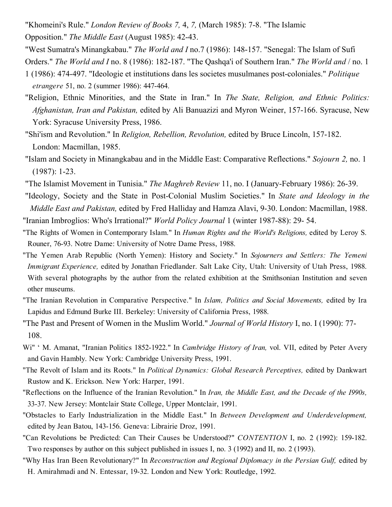"Khomeini's Rule." *London Review of Books 7, 4, 7, (March 1985): 7-8.* "The Islamic Opposition." The Middle East (August 1985): 42-43.

"West Sumatra's Minangkabau." The World and I no. 7 (1986): 148-157. "Senegal: The Islam of Sufi

- Orders." The World and I no. 8 (1986): 182-187. "The Qashqa'i of Southern Iran." The World and / no. 1 1 (1986): 474497. "Ideologie et institutions dans les societes musulmanes postcoloniales." Politique etrangere 51, no. 2 (summer 1986): 447-464.
- "Religion, Ethnic Minorities, and the State in Iran." In The State, Religion, and Ethnic Politics: Afghanistan, Iran and Pakistan, edited by Ali Banuazizi and Myron Weiner, 157-166. Syracuse, New York: Syracuse University Press, 1986.
- "Shi'ism and Revolution." In *Religion, Rebellion, Revolution, edited by Bruce Lincoln, 157-182.* London: Macmillan, 1985.
- "Islam and Society in Minangkabau and in the Middle East: Comparative Reflections." Sojourn 2, no. 1  $(1987): 1-23.$
- "The Islamist Movement in Tunisia." The Maghreb Review 11, no. I (January-February 1986): 26-39.
- "Ideology, Society and the State in Post-Colonial Muslim Societies." In State and Ideology in the Middle East and Pakistan, edited by Fred Halliday and Hamza Alavi, 9-30. London: Macmillan, 1988.
- "Iranian Imbroglios: Who's Irrational?" *World Policy Journal* 1 (winter 1987-88): 29-54.
- "The Rights of Women in Contemporary Islam." In Human Rights and the World's Religions, edited by Leroy S. Rouner, 76-93. Notre Dame: University of Notre Dame Press, 1988.
- "The Yemen Arab Republic (North Yemen): History and Society." In Sojourners and Settlers: The Yemeni Immigrant Experience, edited by Jonathan Friedlander. Salt Lake City, Utah: University of Utah Press, 1988. With several photographs by the author from the related exhibition at the Smithsonian Institution and seven other museums.
- "The Iranian Revolution in Comparative Perspective." In Islam, Politics and Social Movements, edited by Ira Lapidus and Edmund Burke III. Berkeley: University of California Press, 1988.
- "The Past and Present of Women in the Muslim World." Journal of World History I, no. I (1990): 77 108.
- Wi" ' M. Amanat, "Iranian Politics 1852-1922." In Cambridge History of Iran, vol. VII, edited by Peter Avery and Gavin Hambly. New York: Cambridge University Press, 1991.
- "The Revolt of Islam and its Roots." In Political Dynamics: Global Research Perceptives, edited by Dankwart Rustow and K. Erickson. New York: Harper, 1991.
- "Reflections on the Influence of the Iranian Revolution." In Iran, the Middle East, and the Decade of the I990s, 3337. New Jersey: Montclair State College, Upper Montclair, 1991.
- "Obstacles to Early Industrialization in the Middle East." In Between Development and Underdevelopment, edited by Jean Batou, 143156. Geneva: Librairie Droz, 1991.
- "Can Revolutions be Predicted: Can Their Causes be Understood?" *CONTENTION* I, no. 2 (1992): 159-182. Two responses by author on this subject published in issues I, no. 3 (1992) and II, no. 2 (1993).
- "Why Has Iran Been Revolutionary?" In Reconstruction and Regional Diplomacy in the Persian Gulf, edited by H. Amirahmadi and N. Entessar, 19-32. London and New York: Routledge, 1992.